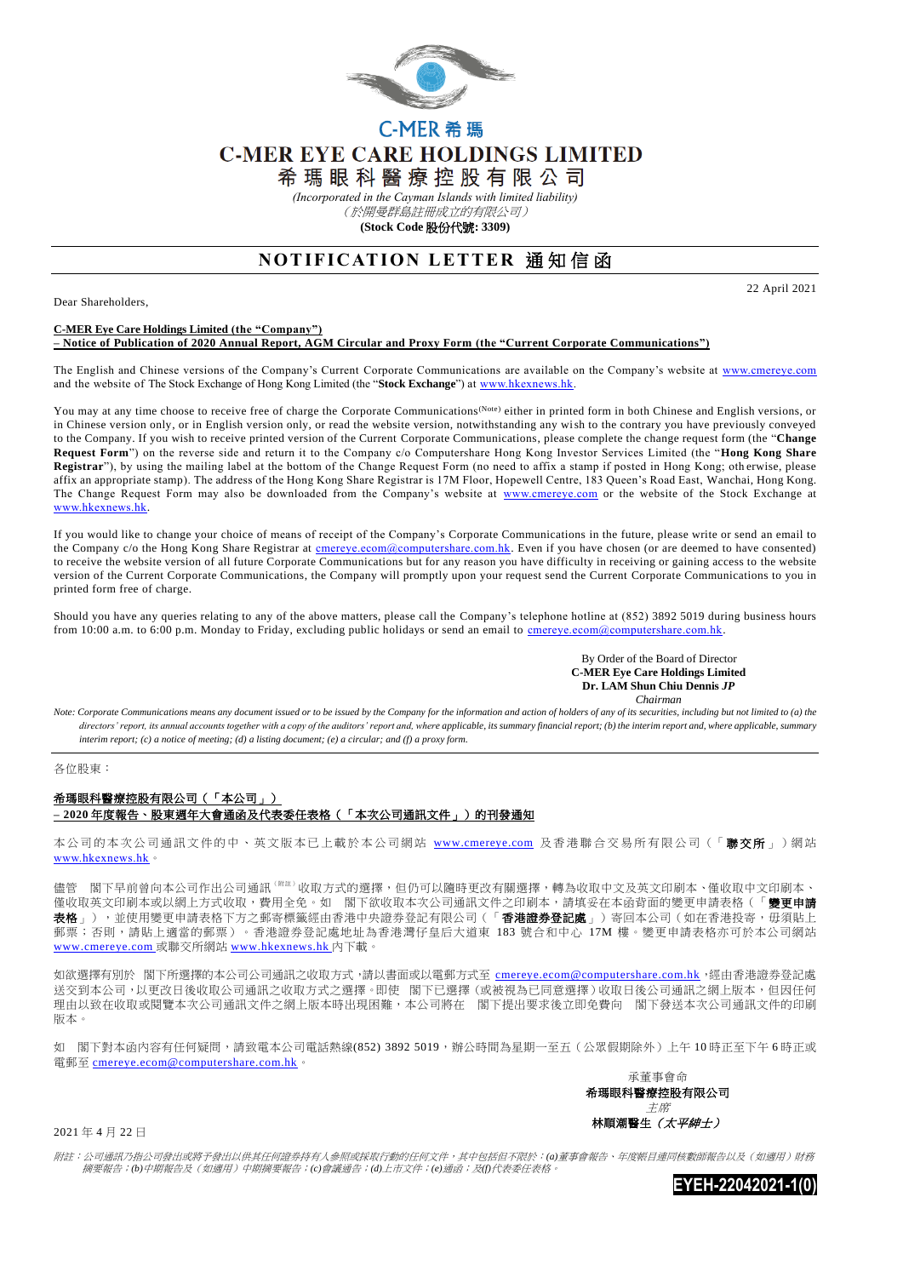

## C-MER 希 瑪 **C-MER EYE CARE HOLDINGS LIMITED**

希 瑪 眼 科 醫 療 控 股 有 限 公 司

*(Incorporated in the Cayman Islands with limited liability)*

(於開曼群島註冊成立的有限公司)

**(Stock Code** 股份代號**: 3309)**

## **NOTIFICATION LETTER 通知信函**

Dear Shareholders,

22 April 2021

## **C-MER Eye Care Holdings Limited (the "Company")**

**– Notice of Publication of 2020 Annual Report, AGM Circular and Proxy Form (the "Current Corporate Communications")** 

The English and Chinese versions of the Company's Current Corporate Communications are available on the Company's website at [www.cmereye.com](http://www.cmereye.com/) and the website of The Stock Exchange of Hong Kong Limited (the "**Stock Exchange**") a[t www.hkexnews.hk.](http://www.hkexnews.hk/)

You may at any time choose to receive free of charge the Corporate Communications<sup>(Note)</sup> either in printed form in both Chinese and English versions, or in Chinese version only, or in English version only, or read the website version, notwithstanding any wish to the contrary you have previously conveyed to the Company. If you wish to receive printed version of the Current Corporate Communications, please complete the change request form (the "**Change Request Form**") on the reverse side and return it to the Company c/o Computershare Hong Kong Investor Services Limited (the "**Hong Kong Share Registrar**"), by using the mailing label at the bottom of the Change Request Form (no need to affix a stamp if posted in Hong Kong; oth erwise, please affix an appropriate stamp). The address of the Hong Kong Share Registrar is 17M Floor, Hopewell Centre, 183 Queen's Road East, Wanchai, Hong Kong. The Change Request Form may also be downloaded from the Company's website at [www.cmereye.com](http://www.cmereye.com/) or the website of the Stock Exchange at [www.hkexnews.hk.](http://www.hkexnews.hk/)

If you would like to change your choice of means of receipt of the Company's Corporate Communications in the future, please write or send an email to the Company c/o the Hong Kong Share Registrar at cmereye.com@computershare.com.hk. Even if you have chosen (or are deemed to have consented) to receive the website version of all future Corporate Communications but for any reason you have difficulty in receiving or gaining access to the website version of the Current Corporate Communications, the Company will promptly upon your request send the Current Corporate Communications to you in printed form free of charge.

Should you have any queries relating to any of the above matters, please call the Company's telephone hotline at (852) 3892 5019 during business hours from 10:00 a.m. to 6:00 p.m. Monday to Friday, excluding public holidays or send an email to [cmereye.ecom@computershare.com.hk.](mailto:cmereye.ecom@computershare.com.hk)

> By Order of the Board of Director  **C-MER Eye Care Holdings Limited Dr. LAM Shun Chiu Dennis** *JP Chairman*

*Note: Corporate Communications means any document issued or to be issued by the Company for the information and action of holders of any of its securities, including but not limited to (a) the*  directors' report, its annual accounts together with a copy of the auditors' report and, where applicable, its summary financial report; (b) the interim report and, where applicable, summary *interim report; (c) a notice of meeting; (d) a listing document; (e) a circular; and (f) a proxy form.*

各位股東:

## 希瑪眼科醫療控股有限公司(「本公司」) **– 2020** 年度報告、股東週年大會通函及代表委任表格(「本次公司通訊文件」)的刊發通知

本公司的本次公司通訊文件的中、英文版本已上載於本公司網站 [www.cmereye.com](http://www.cmereye.com/) 及香港聯合交易所有限公司(「聯交所」)網站 [www.hkexnews.hk](http://www.hkexnews.hk/)。

儘管 閣下早前曾向本公司作出公司通訊 『##』收取方式的選擇,但仍可以隨時更改有關選擇,轉為收取中文及英文印刷本、僅收取中文印刷本、 僅收取英文印刷本或以網上方式收取,費用全免。如 閣下欲收取本次公司通訊文件之印刷本,請填妥在本函背面的變更申請表格(「**變更申請** 品於《次文》》,《次編書》)、《《文帝書》)。《清書》,《《音》、《音》、《音》、《音》、《音》)。《文章書》,《文章書》,《《文集》)。<br>**表格** 」),並使用變更申請表格下方之郵寄標籤經由香港中央證券登記有限公司(「**香港證券登記處** 」)寄回本公司(如在香港投寄,毋須貼上 郵票;否則,請貼上適當的郵票)。香港證券登記處地址為香港灣仔皇后大道東 183號合和中心 17M 樓。變更申請表格亦可於本公司網站 [www.cmereye.com](http://www.cmereye.com/) 或聯交所網站 [www.hkexnews.hk](http://www.hkexnews.hk/) 內下載。

如欲選擇有別於 閣下所選擇的本公司公司通訊之收取方式,請以書面或以電郵方式至 [cmereye.ecom@computershare.com.hk](mailto:cmereye.ecom@computershare.com.hk),經由香港證券登記處 送交到本公司,,以更改日後收取公司通訊之收取方式之選擇。即使 閣下已選擇 (或被視為已同意選擇)收取日後公司通訊之網上版本,但因任何 理由以致在收取或閱覽本次公司通訊文件之網上版本時出現困難,本公司將在 閣下提出要求後立即免費向 閣下發送本次公司通訊文件的印刷 版本。

如 閣下對本函內容有任何疑問,請致電本公司電話熱線(852) 3892 5019,辦公時間為星期一至五(公眾假期除外)上午 10 時正至下午 6 時正或 電郵至 [cmereye.ecom@computershare.com.hk](mailto:cmereye.ecom@computershare.com.hk)。



2021 年 4 月 22 日

附註:公司通訊乃指公司發出或將予發出以供其任何證券持有人參照或採取行動的任何文件,其中包括但不限於:*(a)*董事會報告、年度帳目連同核數師報告以及(如適用)財務 摘要報告;*(b)*中期報告及(如適用)中期摘要報告;*(c)*會議通告;*(d)*上市文件;*(e)*通函;及*(f)*代表委任表格。